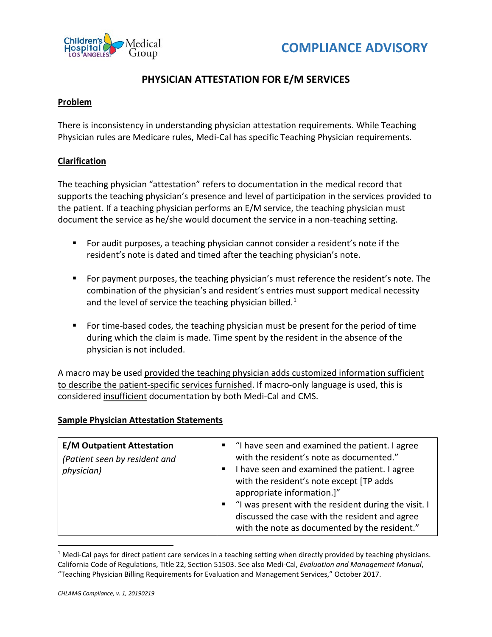



## **PHYSICIAN ATTESTATION FOR E/M SERVICES**

## **Problem**

There is inconsistency in understanding physician attestation requirements. While Teaching Physician rules are Medicare rules, Medi-Cal has specific Teaching Physician requirements.

## **Clarification**

The teaching physician "attestation" refers to documentation in the medical record that supports the teaching physician's presence and level of participation in the services provided to the patient. If a teaching physician performs an E/M service, the teaching physician must document the service as he/she would document the service in a non-teaching setting.

- For audit purposes, a teaching physician cannot consider a resident's note if the resident's note is dated and timed after the teaching physician's note.
- **For payment purposes, the teaching physician's must reference the resident's note. The** combination of the physician's and resident's entries must support medical necessity and the level of service the teaching physician billed. $1$
- For time-based codes, the teaching physician must be present for the period of time during which the claim is made. Time spent by the resident in the absence of the physician is not included.

A macro may be used provided the teaching physician adds customized information sufficient to describe the patient-specific services furnished. If macro-only language is used, this is considered insufficient documentation by both Medi-Cal and CMS.

## **Sample Physician Attestation Statements**

| <b>E/M Outpatient Attestation</b><br>(Patient seen by resident and<br>physician) | "I have seen and examined the patient. I agree<br>with the resident's note as documented."<br>I have seen and examined the patient. I agree<br>with the resident's note except [TP adds<br>appropriate information.]"<br>"I was present with the resident during the visit. I<br>discussed the case with the resident and agree<br>with the note as documented by the resident." |
|----------------------------------------------------------------------------------|----------------------------------------------------------------------------------------------------------------------------------------------------------------------------------------------------------------------------------------------------------------------------------------------------------------------------------------------------------------------------------|
|----------------------------------------------------------------------------------|----------------------------------------------------------------------------------------------------------------------------------------------------------------------------------------------------------------------------------------------------------------------------------------------------------------------------------------------------------------------------------|

<span id="page-0-0"></span><sup>&</sup>lt;sup>1</sup> Medi-Cal pays for direct patient care services in a teaching setting when directly provided by teaching physicians. California Code of Regulations, Title 22, Section 51503. See also Medi-Cal, *Evaluation and Management Manual*, "Teaching Physician Billing Requirements for Evaluation and Management Services," October 2017.